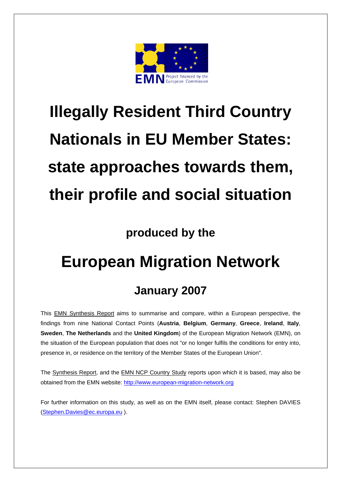

# **Illegally Resident Third Country Nationals in EU Member States: state approaches towards them, their profile and social situation**

## **produced by the**

## **European Migration Network**

## **January 2007**

This EMN Synthesis Report aims to summarise and compare, within a European perspective, the findings from nine National Contact Points (**Austria**, **Belgium**, **Germany**, **Greece**, **Ireland**, **Italy**, **Sweden**, **The Netherlands** and the **United Kingdom**) of the European Migration Network (EMN), on the situation of the European population that does not "or no longer fulfils the conditions for entry into, presence in, or residence on the territory of the Member States of the European Union".

The Synthesis Report, and the EMN NCP Country Study reports upon which it is based, may also be obtained from the EMN website[: http://www.european-migration-network.org](http://emn.eurodyn.com/Downloads/prepareShowFiles.do;jsessionid=D898480ED40F7453F4362131FADEFAE7?directoryID=71) 

For further information on this study, as well as on the EMN itself, please contact: Stephen DAVIES [\(Stephen.Davies@ec.europa.eu](mailto:Stephen.Davies@ec.europa.eu) ).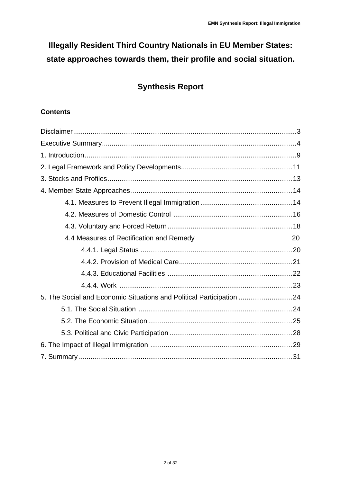## **Illegally Resident Third Country Nationals in EU Member States: state approaches towards them, their profile and social situation.**

### **Synthesis Report**

#### **Contents**

| 4.4 Measures of Rectification and Remedy<br>20                       |
|----------------------------------------------------------------------|
|                                                                      |
|                                                                      |
|                                                                      |
|                                                                      |
| 5. The Social and Economic Situations and Political Participation 24 |
|                                                                      |
|                                                                      |
|                                                                      |
|                                                                      |
|                                                                      |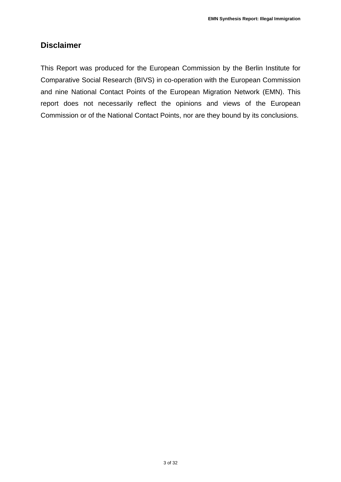#### **Disclaimer**

This Report was produced for the European Commission by the Berlin Institute for Comparative Social Research (BIVS) in co-operation with the European Commission and nine National Contact Points of the European Migration Network (EMN). This report does not necessarily reflect the opinions and views of the European Commission or of the National Contact Points, nor are they bound by its conclusions.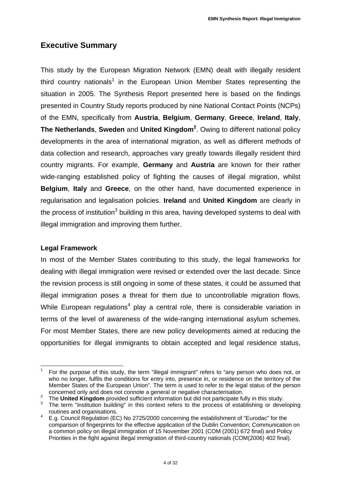#### **Executive Summary**

This study by the European Migration Network (EMN) dealt with illegally resident third country nationals<sup>1</sup> in the European Union Member States representing the situation in 2005. The Synthesis Report presented here is based on the findings presented in Country Study reports produced by nine National Contact Points (NCPs) of the EMN, specifically from **Austria**, **Belgium**, **Germany**, **Greece**, **Ireland**, **Italy**, **The Netherlands**, **Sweden** and **United Kingdom<sup>2</sup>** . Owing to different national policy developments in the area of international migration, as well as different methods of data collection and research, approaches vary greatly towards illegally resident third country migrants. For example, **Germany** and **Austria** are known for their rather wide-ranging established policy of fighting the causes of illegal migration, whilst **Belgium**, **Italy** and **Greece**, on the other hand, have documented experience in regularisation and legalisation policies. **Ireland** and **United Kingdom** are clearly in the process of institution<sup>3</sup> building in this area, having developed systems to deal with illegal immigration and improving them further.

#### **Legal Framework**

In most of the Member States contributing to this study, the legal frameworks for dealing with illegal immigration were revised or extended over the last decade. Since the revision process is still ongoing in some of these states, it could be assumed that illegal immigration poses a threat for them due to uncontrollable migration flows. While European regulations<sup>4</sup> play a central role, there is considerable variation in terms of the level of awareness of the wide-ranging international asylum schemes. For most Member States, there are new policy developments aimed at reducing the opportunities for illegal immigrants to obtain accepted and legal residence status,

 $\overline{a}$ 1 For the purpose of this study, the term "illegal immigrant" refers to "any person who does not, or who no longer, fulfils the conditions for entry into, presence in, or residence on the territory of the Member States of the European Union". The term is used to refer to the legal status of the person concerned only and does not connote a general or negative characterisation.

The **United Kingdom** provided sufficient information but did not participate fully in this study.

The term "institution building" in this context refers to the process of establishing or developing routines and organisations. 4

E.g. Council Regulation (EC) No 2725/2000 concerning the establishment of "Eurodac" for the comparison of fingerprints for the effective application of the Dublin Convention; Communication on a common policy on illegal immigration of 15 November 2001 (COM (2001) 672 final) and Policy Priorities in the fight against illegal immigration of third-country nationals (COM(2006) 402 final).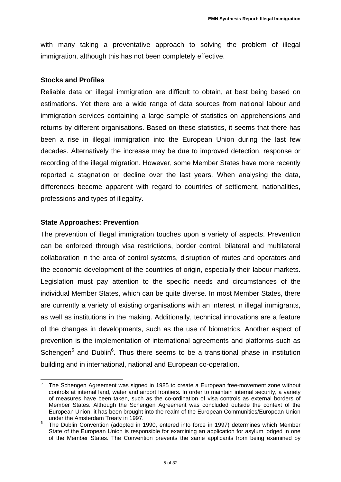with many taking a preventative approach to solving the problem of illegal immigration, although this has not been completely effective.

#### **Stocks and Profiles**

Reliable data on illegal immigration are difficult to obtain, at best being based on estimations. Yet there are a wide range of data sources from national labour and immigration services containing a large sample of statistics on apprehensions and returns by different organisations. Based on these statistics, it seems that there has been a rise in illegal immigration into the European Union during the last few decades. Alternatively the increase may be due to improved detection, response or recording of the illegal migration. However, some Member States have more recently reported a stagnation or decline over the last years. When analysing the data, differences become apparent with regard to countries of settlement, nationalities, professions and types of illegality.

#### **State Approaches: Prevention**

The prevention of illegal immigration touches upon a variety of aspects. Prevention can be enforced through visa restrictions, border control, bilateral and multilateral collaboration in the area of control systems, disruption of routes and operators and the economic development of the countries of origin, especially their labour markets. Legislation must pay attention to the specific needs and circumstances of the individual Member States, which can be quite diverse. In most Member States, there are currently a variety of existing organisations with an interest in illegal immigrants, as well as institutions in the making. Additionally, technical innovations are a feature of the changes in developments, such as the use of biometrics. Another aspect of prevention is the implementation of international agreements and platforms such as Schengen<sup>5</sup> and Dublin<sup>6</sup>. Thus there seems to be a transitional phase in institution building and in international, national and European co-operation.

i 5 The Schengen Agreement was signed in 1985 to create a European free-movement zone without controls at internal land, water and airport frontiers. In order to maintain internal security, a variety of measures have been taken, such as the co-ordination of visa controls as external borders of Member States. Although the Schengen Agreement was concluded outside the context of the European Union, it has been brought into the realm of the European Communities/European Union under the Amsterdam Treaty in 1997.

The Dublin Convention (adopted in 1990, entered into force in 1997) determines which Member State of the European Union is responsible for examining an application for asylum lodged in one of the Member States. The Convention prevents the same applicants from being examined by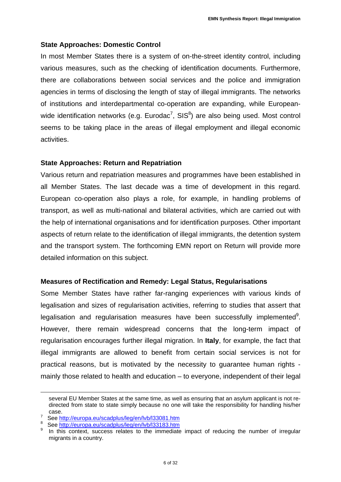#### **State Approaches: Domestic Control**

In most Member States there is a system of on-the-street identity control, including various measures, such as the checking of identification documents. Furthermore, there are collaborations between social services and the police and immigration agencies in terms of disclosing the length of stay of illegal immigrants. The networks of institutions and interdepartmental co-operation are expanding, while Europeanwide identification networks (e.g. Eurodac<sup>7</sup>, SIS<sup>8</sup>) are also being used. Most control seems to be taking place in the areas of illegal employment and illegal economic activities.

#### **State Approaches: Return and Repatriation**

Various return and repatriation measures and programmes have been established in all Member States. The last decade was a time of development in this regard. European co-operation also plays a role, for example, in handling problems of transport, as well as multi-national and bilateral activities, which are carried out with the help of international organisations and for identification purposes. Other important aspects of return relate to the identification of illegal immigrants, the detention system and the transport system. The forthcoming EMN report on Return will provide more detailed information on this subject.

#### **Measures of Rectification and Remedy: Legal Status, Regularisations**

Some Member States have rather far-ranging experiences with various kinds of legalisation and sizes of regularisation activities, referring to studies that assert that legalisation and regularisation measures have been successfully implemented<sup>9</sup>. However, there remain widespread concerns that the long-term impact of regularisation encourages further illegal migration. In **Italy**, for example, the fact that illegal immigrants are allowed to benefit from certain social services is not for practical reasons, but is motivated by the necessity to guarantee human rights mainly those related to health and education – to everyone, independent of their legal

i

several EU Member States at the same time, as well as ensuring that an asylum applicant is not redirected from state to state simply because no one will take the responsibility for handling his/her  $\frac{\text{case}}{7}$ .

See<http://europa.eu/scadplus/leg/en/lvb/l33081.htm>8

See http://europa.eu/scadplus/leg/en/lvb/l33183.htm

In this context, success relates to the immediate impact of reducing the number of irregular migrants in a country.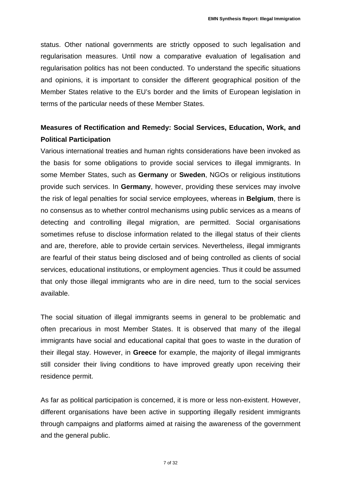status. Other national governments are strictly opposed to such legalisation and regularisation measures. Until now a comparative evaluation of legalisation and regularisation politics has not been conducted. To understand the specific situations and opinions, it is important to consider the different geographical position of the Member States relative to the EU's border and the limits of European legislation in terms of the particular needs of these Member States.

#### **Measures of Rectification and Remedy: Social Services, Education, Work, and Political Participation**

Various international treaties and human rights considerations have been invoked as the basis for some obligations to provide social services to illegal immigrants. In some Member States, such as **Germany** or **Sweden**, NGOs or religious institutions provide such services. In **Germany**, however, providing these services may involve the risk of legal penalties for social service employees, whereas in **Belgium**, there is no consensus as to whether control mechanisms using public services as a means of detecting and controlling illegal migration, are permitted. Social organisations sometimes refuse to disclose information related to the illegal status of their clients and are, therefore, able to provide certain services. Nevertheless, illegal immigrants are fearful of their status being disclosed and of being controlled as clients of social services, educational institutions, or employment agencies. Thus it could be assumed that only those illegal immigrants who are in dire need, turn to the social services available.

The social situation of illegal immigrants seems in general to be problematic and often precarious in most Member States. It is observed that many of the illegal immigrants have social and educational capital that goes to waste in the duration of their illegal stay. However, in **Greece** for example, the majority of illegal immigrants still consider their living conditions to have improved greatly upon receiving their residence permit.

As far as political participation is concerned, it is more or less non-existent. However, different organisations have been active in supporting illegally resident immigrants through campaigns and platforms aimed at raising the awareness of the government and the general public.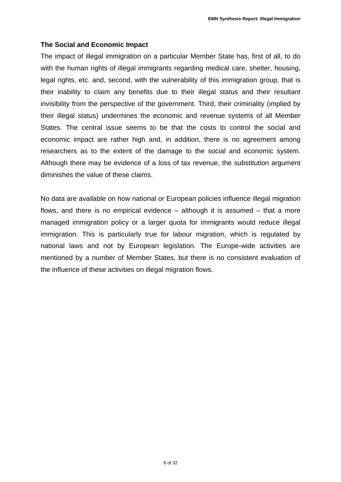#### **The Social and Economic Impact**

The impact of illegal immigration on a particular Member State has, first of all, to do with the human rights of illegal immigrants regarding medical care, shelter, housing, legal rights, etc. and, second, with the vulnerability of this immigration group, that is their inability to claim any benefits due to their illegal status and their resultant invisibility from the perspective of the government. Third, their criminality (implied by their illegal status) undermines the economic and revenue systems of all Member States. The central issue seems to be that the costs to control the social and economic impact are rather high and, in addition, there is no agreement among researchers as to the extent of the damage to the social and economic system. Although there may be evidence of a loss of tax revenue, the substitution argument diminishes the value of these claims.

No data are available on how national or European policies influence illegal migration flows, and there is no empirical evidence – although it is assumed – that a more managed immigration policy or a larger quota for immigrants would reduce illegal immigration. This is particularly true for labour migration, which is regulated by national laws and not by European legislation. The Europe-wide activities are mentioned by a number of Member States, but there is no consistent evaluation of the influence of these activities on illegal migration flows.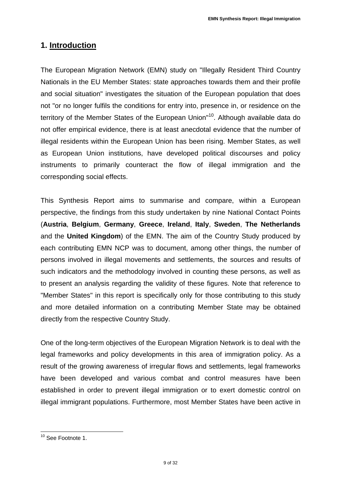#### **1. Introduction**

The European Migration Network (EMN) study on "Illegally Resident Third Country Nationals in the EU Member States: state approaches towards them and their profile and social situation" investigates the situation of the European population that does not "or no longer fulfils the conditions for entry into, presence in, or residence on the territory of the Member States of the European Union"<sup>10</sup>. Although available data do not offer empirical evidence, there is at least anecdotal evidence that the number of illegal residents within the European Union has been rising. Member States, as well as European Union institutions, have developed political discourses and policy instruments to primarily counteract the flow of illegal immigration and the corresponding social effects.

This Synthesis Report aims to summarise and compare, within a European perspective, the findings from this study undertaken by nine National Contact Points (**Austria**, **Belgium**, **Germany**, **Greece**, **Ireland**, **Italy**, **Sweden**, **The Netherlands** and the **United Kingdom**) of the EMN. The aim of the Country Study produced by each contributing EMN NCP was to document, among other things, the number of persons involved in illegal movements and settlements, the sources and results of such indicators and the methodology involved in counting these persons, as well as to present an analysis regarding the validity of these figures. Note that reference to "Member States" in this report is specifically only for those contributing to this study and more detailed information on a contributing Member State may be obtained directly from the respective Country Study.

One of the long-term objectives of the European Migration Network is to deal with the legal frameworks and policy developments in this area of immigration policy. As a result of the growing awareness of irregular flows and settlements, legal frameworks have been developed and various combat and control measures have been established in order to prevent illegal immigration or to exert domestic control on illegal immigrant populations. Furthermore, most Member States have been active in

 $\overline{a}$ <sup>10</sup> See Footnote 1.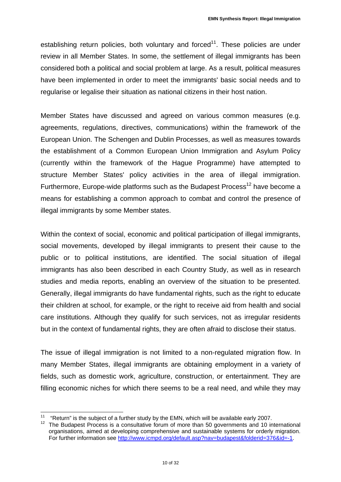establishing return policies, both voluntary and forced $11$ . These policies are under review in all Member States. In some, the settlement of illegal immigrants has been considered both a political and social problem at large. As a result, political measures have been implemented in order to meet the immigrants' basic social needs and to regularise or legalise their situation as national citizens in their host nation.

Member States have discussed and agreed on various common measures (e.g. agreements, regulations, directives, communications) within the framework of the European Union. The Schengen and Dublin Processes, as well as measures towards the establishment of a Common European Union Immigration and Asylum Policy (currently within the framework of the Hague Programme) have attempted to structure Member States' policy activities in the area of illegal immigration. Furthermore, Europe-wide platforms such as the Budapest Process<sup>12</sup> have become a means for establishing a common approach to combat and control the presence of illegal immigrants by some Member states.

Within the context of social, economic and political participation of illegal immigrants, social movements, developed by illegal immigrants to present their cause to the public or to political institutions, are identified. The social situation of illegal immigrants has also been described in each Country Study, as well as in research studies and media reports, enabling an overview of the situation to be presented. Generally, illegal immigrants do have fundamental rights, such as the right to educate their children at school, for example, or the right to receive aid from health and social care institutions. Although they qualify for such services, not as irregular residents but in the context of fundamental rights, they are often afraid to disclose their status.

The issue of illegal immigration is not limited to a non-regulated migration flow. In many Member States, illegal immigrants are obtaining employment in a variety of fields, such as domestic work, agriculture, construction, or entertainment. They are filling economic niches for which there seems to be a real need, and while they may

 $\overline{a}$ 

<sup>&</sup>lt;sup>11</sup> "Return" is the subject of a further study by the EMN, which will be available early 2007.<br><sup>12</sup> The Budapest Process is a consultative forum of more than 50 governments and 10 international organisations, aimed at developing comprehensive and sustainable systems for orderly migration. [For further information see http://www.icmpd.org/default.asp?nav=budapest&folderid=376&id=-1.](http://www.icmpd.org/default.asp?nav=budapest&folderid=376&id=-1)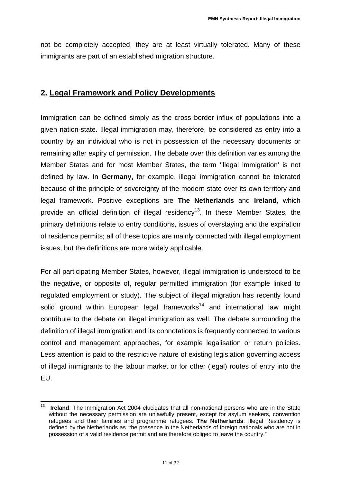not be completely accepted, they are at least virtually tolerated. Many of these immigrants are part of an established migration structure.

#### **2. Legal Framework and Policy Developments**

Immigration can be defined simply as the cross border influx of populations into a given nation-state. Illegal immigration may, therefore, be considered as entry into a country by an individual who is not in possession of the necessary documents or remaining after expiry of permission. The debate over this definition varies among the Member States and for most Member States, the term 'illegal immigration' is not defined by law. In **Germany,** for example, illegal immigration cannot be tolerated because of the principle of sovereignty of the modern state over its own territory and legal framework. Positive exceptions are **The Netherlands** and **Ireland**, which provide an official definition of illegal residency<sup>13</sup>. In these Member States, the primary definitions relate to entry conditions, issues of overstaying and the expiration of residence permits; all of these topics are mainly connected with illegal employment issues, but the definitions are more widely applicable.

For all participating Member States, however, illegal immigration is understood to be the negative, or opposite of, regular permitted immigration (for example linked to regulated employment or study). The subject of illegal migration has recently found solid ground within European legal frameworks<sup>14</sup> and international law might contribute to the debate on illegal immigration as well. The debate surrounding the definition of illegal immigration and its connotations is frequently connected to various control and management approaches, for example legalisation or return policies. Less attention is paid to the restrictive nature of existing legislation governing access of illegal immigrants to the labour market or for other (legal) routes of entry into the EU.

 $13$ **Ireland**: The Immigration Act 2004 elucidates that all non-national persons who are in the State without the necessary permission are unlawfully present, except for asylum seekers, convention refugees and their families and programme refugees. **The Netherlands**: Illegal Residency is def[ined by the Netherlands as "the presence in the Netherlands of foreign nationals who ar](http://ec.europa.eu/justice_home/doc_centre/immigration/illegal/doc_immigration_illegal_en.htm)e not in possession of a valid residence permit and are therefore obliged to leave the country."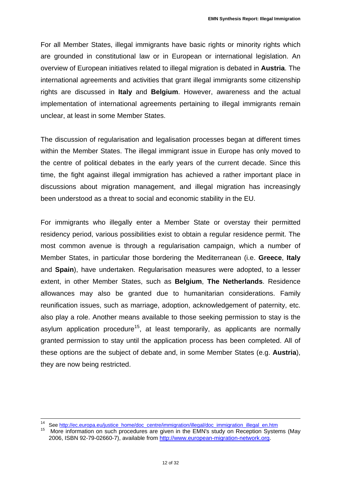For all Member States, illegal immigrants have basic rights or minority rights which are grounded in constitutional law or in European or international legislation. An overview of European initiatives related to illegal migration is debated in **Austria**. The international agreements and activities that grant illegal immigrants some citizenship rights are discussed in **Italy** and **Belgium**. However, awareness and the actual implementation of international agreements pertaining to illegal immigrants remain unclear, at least in some Member States.

The discussion of regularisation and legalisation processes began at different times within the Member States. The illegal immigrant issue in Europe has only moved to the centre of political debates in the early years of the current decade. Since this time, the fight against illegal immigration has achieved a rather important place in discussions about migration management, and illegal migration has increasingly been understood as a threat to social and economic stability in the EU.

For immigrants who illegally enter a Member State or overstay their permitted residency period, various possibilities exist to obtain a regular residence permit. The most common avenue is through a regularisation campaign, which a number of Member States, in particular those bordering the Mediterranean (i.e. **Greece**, **Italy** and **Spain**), have undertaken. Regularisation measures were adopted, to a lesser extent, in other Member States, such as **Belgium**, **The Netherlands**. Residence allowances may also be granted due to humanitarian considerations. Family reunification issues, such as marriage, adoption, acknowledgement of paternity, etc. also play a role. Another means available to those seeking permission to stay is the asylum application procedure<sup>15</sup>, at least temporarily, as applicants are normally granted permission to stay until the application process has been completed. All of these options are the subject of debate and, in some Member States (e.g. **Austria**), they are now being restricted.

i<br>L

<sup>&</sup>lt;sup>14</sup> See <u>http://ec.europa.eu/justice\_home/doc\_centre/immigration/illegal/doc\_immigration\_illegal\_en.htm<br><sup>15</sup> More information on ough procedures are given in the EMN's study on Beconting System</u>

More information on such procedures are given in the EMN's study on Reception Systems (May [2006, ISBN 92-79-02660-7\), available from http://www.european-migration-network.org.](http://www.european-migration-network.org/)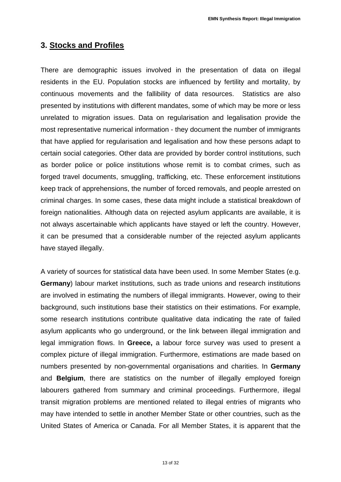#### **3. Stocks and Profiles**

There are demographic issues involved in the presentation of data on illegal residents in the EU. Population stocks are influenced by fertility and mortality, by continuous movements and the fallibility of data resources. Statistics are also presented by institutions with different mandates, some of which may be more or less unrelated to migration issues. Data on regularisation and legalisation provide the most representative numerical information - they document the number of immigrants that have applied for regularisation and legalisation and how these persons adapt to certain social categories. Other data are provided by border control institutions, such as border police or police institutions whose remit is to combat crimes, such as forged travel documents, smuggling, trafficking, etc. These enforcement institutions keep track of apprehensions, the number of forced removals, and people arrested on criminal charges. In some cases, these data might include a statistical breakdown of foreign nationalities. Although data on rejected asylum applicants are available, it is not always ascertainable which applicants have stayed or left the country. However, it can be presumed that a considerable number of the rejected asylum applicants have stayed illegally.

A variety of sources for statistical data have been used. In some Member States (e.g. **Germany**) labour market institutions, such as trade unions and research institutions are involved in estimating the numbers of illegal immigrants. However, owing to their background, such institutions base their statistics on their estimations. For example, some research institutions contribute qualitative data indicating the rate of failed asylum applicants who go underground, or the link between illegal immigration and legal immigration flows. In **Greece,** a labour force survey was used to present a complex picture of illegal immigration. Furthermore, estimations are made based on numbers presented by non-governmental organisations and charities. In **Germany** and **Belgium**, there are statistics on the number of illegally employed foreign labourers gathered from summary and criminal proceedings. Furthermore, illegal transit migration problems are mentioned related to illegal entries of migrants who may have intended to settle in another Member State or other countries, such as the United States of America or Canada. For all Member States, it is apparent that the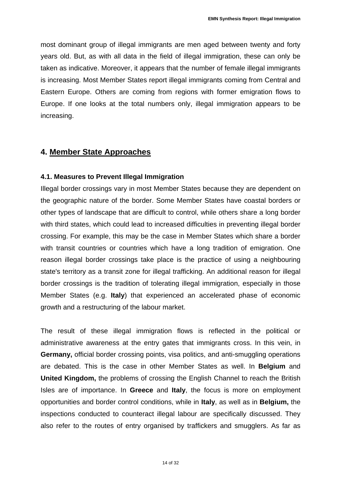most dominant group of illegal immigrants are men aged between twenty and forty years old. But, as with all data in the field of illegal immigration, these can only be taken as indicative. Moreover, it appears that the number of female illegal immigrants is increasing. Most Member States report illegal immigrants coming from Central and Eastern Europe. Others are coming from regions with former emigration flows to Europe. If one looks at the total numbers only, illegal immigration appears to be increasing.

#### **4. Member State Approaches**

#### **4.1. Measures to Prevent Illegal Immigration**

Illegal border crossings vary in most Member States because they are dependent on the geographic nature of the border. Some Member States have coastal borders or other types of landscape that are difficult to control, while others share a long border with third states, which could lead to increased difficulties in preventing illegal border crossing. For example, this may be the case in Member States which share a border with transit countries or countries which have a long tradition of emigration. One reason illegal border crossings take place is the practice of using a neighbouring state's territory as a transit zone for illegal trafficking. An additional reason for illegal border crossings is the tradition of tolerating illegal immigration, especially in those Member States (e.g. **Italy**) that experienced an accelerated phase of economic growth and a restructuring of the labour market.

The result of these illegal immigration flows is reflected in the political or administrative awareness at the entry gates that immigrants cross. In this vein, in **Germany,** official border crossing points, visa politics, and anti-smuggling operations are debated. This is the case in other Member States as well. In **Belgium** and **United Kingdom,** the problems of crossing the English Channel to reach the British Isles are of importance. In **Greece** and **Italy**, the focus is more on employment opportunities and border control conditions, while in **Italy**, as well as in **Belgium,** the inspections conducted to counteract illegal labour are specifically discussed. They also refer to the routes of entry organised by traffickers and smugglers. As far as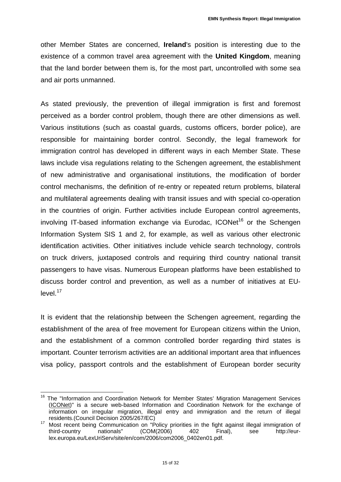other Member States are concerned, **Ireland**'s position is interesting due to the existence of a common travel area agreement with the **United Kingdom**, meaning that the land border between them is, for the most part, uncontrolled with some sea and air ports unmanned.

As stated previously, the prevention of illegal immigration is first and foremost perceived as a border control problem, though there are other dimensions as well. Various institutions (such as coastal guards, customs officers, border police), are responsible for maintaining border control. Secondly, the legal framework for immigration control has developed in different ways in each Member State. These laws include visa regulations relating to the Schengen agreement, the establishment of new administrative and organisational institutions, the modification of border control mechanisms, the definition of re-entry or repeated return problems, bilateral and multilateral agreements dealing with transit issues and with special co-operation in the countries of origin. Further activities include European control agreements, involving IT-based information exchange via Eurodac, ICONet<sup>16</sup> or the Schengen Information System SIS 1 and 2, for example, as well as various other electronic identification activities. Other initiatives include vehicle search technology, controls on truck drivers, juxtaposed controls and requiring third country national transit passengers to have visas. Numerous European platforms have been established to discuss border control and prevention, as well as a number of initiatives at EU $level.<sup>17</sup>$ 

It is evident that the relationship between the Schengen agreement, regarding the establishment of the area of free movement for European citizens within the Union, and the establishment of a common controlled border regarding third states is important. Counter terrorism activities are an additional important area that influences visa policy, passport controls and the establishment of European border security

 $\overline{a}$ <sup>16</sup> The "Information and Coordination Network for Member States' Migration Management Services (ICONet)" is a secure web-based Information and Coordination Network for the exchange of information on irregular migration, illegal entry and immigration and the return of illegal

residents.(Council Decision 2005/267/EC)<br>
<sup>17</sup> Most recent being Communication on "Policy priorities in the fight against illegal immigration of<br>
third-country nationals" (COM(2006) 402 Final), see http://eurthird-country nationals" (COM(2006) 402 Final), see [http://eur](http://eur-lex.europa.eu/LexUriServ/site/en/com/2006/com2006_0402en01.pdf)[lex.europa.eu/LexUriServ/site/en/com/2006/com2006\\_0402en01.pdf.](http://eur-lex.europa.eu/LexUriServ/site/en/com/2006/com2006_0402en01.pdf)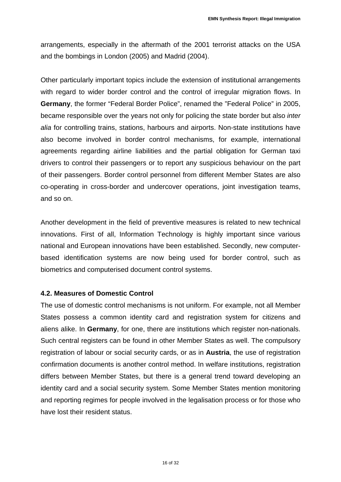arrangements, especially in the aftermath of the 2001 terrorist attacks on the USA and the bombings in London (2005) and Madrid (2004).

Other particularly important topics include the extension of institutional arrangements with regard to wider border control and the control of irregular migration flows. In **Germany**, the former "Federal Border Police", renamed the "Federal Police" in 2005, became responsible over the years not only for policing the state border but also *inter alia* for controlling trains, stations, harbours and airports. Non-state institutions have also become involved in border control mechanisms, for example, international agreements regarding airline liabilities and the partial obligation for German taxi drivers to control their passengers or to report any suspicious behaviour on the part of their passengers. Border control personnel from different Member States are also co-operating in cross-border and undercover operations, joint investigation teams, and so on.

Another development in the field of preventive measures is related to new technical innovations. First of all, Information Technology is highly important since various national and European innovations have been established. Secondly, new computerbased identification systems are now being used for border control, such as biometrics and computerised document control systems.

#### **4.2. Measures of Domestic Control**

The use of domestic control mechanisms is not uniform. For example, not all Member States possess a common identity card and registration system for citizens and aliens alike. In **Germany**, for one, there are institutions which register non-nationals. Such central registers can be found in other Member States as well. The compulsory registration of labour or social security cards, or as in **Austria**, the use of registration confirmation documents is another control method. In welfare institutions, registration differs between Member States, but there is a general trend toward developing an identity card and a social security system. Some Member States mention monitoring and reporting regimes for people involved in the legalisation process or for those who have lost their resident status.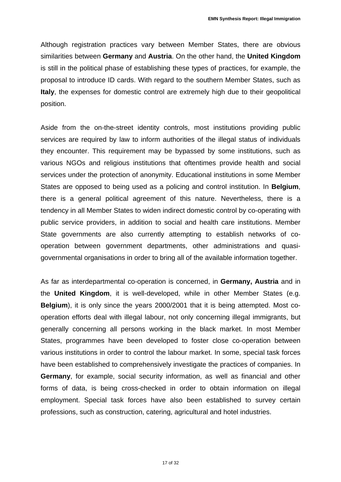Although registration practices vary between Member States, there are obvious similarities between **Germany** and **Austria**. On the other hand, the **United Kingdom** is still in the political phase of establishing these types of practices, for example, the proposal to introduce ID cards. With regard to the southern Member States, such as **Italy**, the expenses for domestic control are extremely high due to their geopolitical position.

Aside from the on-the-street identity controls, most institutions providing public services are required by law to inform authorities of the illegal status of individuals they encounter. This requirement may be bypassed by some institutions, such as various NGOs and religious institutions that oftentimes provide health and social services under the protection of anonymity. Educational institutions in some Member States are opposed to being used as a policing and control institution. In **Belgium**, there is a general political agreement of this nature. Nevertheless, there is a tendency in all Member States to widen indirect domestic control by co-operating with public service providers, in addition to social and health care institutions. Member State governments are also currently attempting to establish networks of cooperation between government departments, other administrations and quasigovernmental organisations in order to bring all of the available information together.

As far as interdepartmental co-operation is concerned, in **Germany, Austria** and in the **United Kingdom**, it is well-developed, while in other Member States (e.g. **Belgium**), it is only since the years 2000/2001 that it is being attempted. Most cooperation efforts deal with illegal labour, not only concerning illegal immigrants, but generally concerning all persons working in the black market. In most Member States, programmes have been developed to foster close co-operation between various institutions in order to control the labour market. In some, special task forces have been established to comprehensively investigate the practices of companies. In **Germany**, for example, social security information, as well as financial and other forms of data, is being cross-checked in order to obtain information on illegal employment. Special task forces have also been established to survey certain professions, such as construction, catering, agricultural and hotel industries.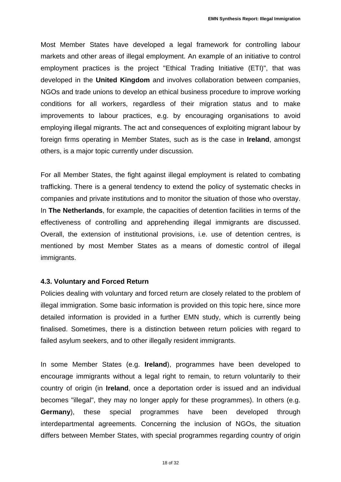Most Member States have developed a legal framework for controlling labour markets and other areas of illegal employment. An example of an initiative to control employment practices is the project "Ethical Trading Initiative (ETI)", that was developed in the **United Kingdom** and involves collaboration between companies, NGOs and trade unions to develop an ethical business procedure to improve working conditions for all workers, regardless of their migration status and to make improvements to labour practices, e.g. by encouraging organisations to avoid employing illegal migrants. The act and consequences of exploiting migrant labour by foreign firms operating in Member States, such as is the case in **Ireland**, amongst others, is a major topic currently under discussion.

For all Member States, the fight against illegal employment is related to combating trafficking. There is a general tendency to extend the policy of systematic checks in companies and private institutions and to monitor the situation of those who overstay. In **The Netherlands**, for example, the capacities of detention facilities in terms of the effectiveness of controlling and apprehending illegal immigrants are discussed. Overall, the extension of institutional provisions, i.e. use of detention centres, is mentioned by most Member States as a means of domestic control of illegal immigrants.

#### **4.3. Voluntary and Forced Return**

Policies dealing with voluntary and forced return are closely related to the problem of illegal immigration. Some basic information is provided on this topic here, since more detailed information is provided in a further EMN study, which is currently being finalised. Sometimes, there is a distinction between return policies with regard to failed asylum seekers, and to other illegally resident immigrants.

In some Member States (e.g. **Ireland**), programmes have been developed to encourage immigrants without a legal right to remain, to return voluntarily to their country of origin (in **Ireland**, once a deportation order is issued and an individual becomes "illegal", they may no longer apply for these programmes). In others (e.g. **Germany**), these special programmes have been developed through interdepartmental agreements. Concerning the inclusion of NGOs, the situation differs between Member States, with special programmes regarding country of origin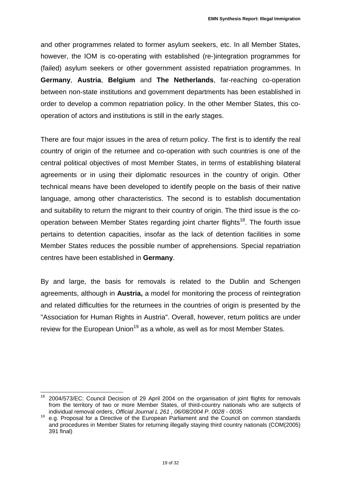and other programmes related to former asylum seekers, etc. In all Member States, however, the IOM is co-operating with established (re-)integration programmes for (failed) asylum seekers or other government assisted repatriation programmes. In **Germany**, **Austria**, **Belgium** and **The Netherlands**, far-reaching co-operation between non-state institutions and government departments has been established in order to develop a common repatriation policy. In the other Member States, this cooperation of actors and institutions is still in the early stages.

There are four major issues in the area of return policy. The first is to identify the real country of origin of the returnee and co-operation with such countries is one of the central political objectives of most Member States, in terms of establishing bilateral agreements or in using their diplomatic resources in the country of origin. Other technical means have been developed to identify people on the basis of their native language, among other characteristics. The second is to establish documentation and suitability to return the migrant to their country of origin. The third issue is the cooperation between Member States regarding joint charter flights<sup>18</sup>. The fourth issue pertains to detention capacities, insofar as the lack of detention facilities in some Member States reduces the possible number of apprehensions. Special repatriation centres have been established in **Germany**.

By and large, the basis for removals is related to the Dublin and Schengen agreements, although in **Austria,** a model for monitoring the process of reintegration and related difficulties for the returnees in the countries of origin is presented by the "Association for Human Rights in Austria". Overall, however, return politics are under review for the European Union<sup>19</sup> as a whole, as well as for most Member States.

 $\overline{a}$ <sup>18</sup> 2004/573/EC: Council Decision of 29 April 2004 on the organisation of joint flights for removals from the territory of two or more Member States, of third-country nationals who are subjects of individual removal orders, Official Journal L 261, 06/08/2004 P. 0028 - 0035

individual removal orders, *Official Journal L 261 , 06/08/2004 P. 0028 - 0035* 19 e.g. Proposal for a Directive of the European Parliament and the Council on common standards and procedures in Member States for returning illegally staying third country nationals (COM(2005) 391 final)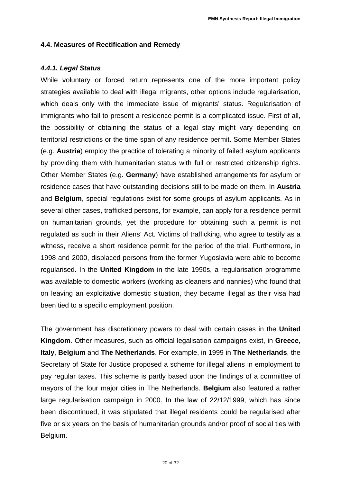#### **4.4. Measures of Rectification and Remedy**

#### *4.4.1. Legal Status*

While voluntary or forced return represents one of the more important policy strategies available to deal with illegal migrants, other options include regularisation, which deals only with the immediate issue of migrants' status. Regularisation of immigrants who fail to present a residence permit is a complicated issue. First of all, the possibility of obtaining the status of a legal stay might vary depending on territorial restrictions or the time span of any residence permit. Some Member States (e.g. **Austria**) employ the practice of tolerating a minority of failed asylum applicants by providing them with humanitarian status with full or restricted citizenship rights. Other Member States (e.g. **Germany**) have established arrangements for asylum or residence cases that have outstanding decisions still to be made on them. In **Austria** and **Belgium**, special regulations exist for some groups of asylum applicants. As in several other cases, trafficked persons, for example, can apply for a residence permit on humanitarian grounds, yet the procedure for obtaining such a permit is not regulated as such in their Aliens' Act. Victims of trafficking, who agree to testify as a witness, receive a short residence permit for the period of the trial. Furthermore, in 1998 and 2000, displaced persons from the former Yugoslavia were able to become regularised. In the **United Kingdom** in the late 1990s, a regularisation programme was available to domestic workers (working as cleaners and nannies) who found that on leaving an exploitative domestic situation, they became illegal as their visa had been tied to a specific employment position.

The government has discretionary powers to deal with certain cases in the **United Kingdom**. Other measures, such as official legalisation campaigns exist, in **Greece**, **Italy**, **Belgium** and **The Netherlands**. For example, in 1999 in **The Netherlands**, the Secretary of State for Justice proposed a scheme for illegal aliens in employment to pay regular taxes. This scheme is partly based upon the findings of a committee of mayors of the four major cities in The Netherlands. **Belgium** also featured a rather large regularisation campaign in 2000. In the law of 22/12/1999, which has since been discontinued, it was stipulated that illegal residents could be regularised after five or six years on the basis of humanitarian grounds and/or proof of social ties with Belgium.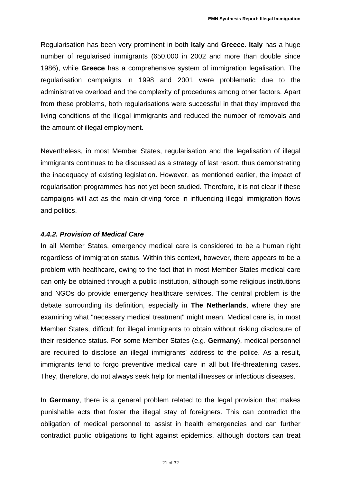Regularisation has been very prominent in both **Italy** and **Greece**. **Italy** has a huge number of regularised immigrants (650,000 in 2002 and more than double since 1986), while **Greece** has a comprehensive system of immigration legalisation. The regularisation campaigns in 1998 and 2001 were problematic due to the administrative overload and the complexity of procedures among other factors. Apart from these problems, both regularisations were successful in that they improved the living conditions of the illegal immigrants and reduced the number of removals and the amount of illegal employment.

Nevertheless, in most Member States, regularisation and the legalisation of illegal immigrants continues to be discussed as a strategy of last resort, thus demonstrating the inadequacy of existing legislation. However, as mentioned earlier, the impact of regularisation programmes has not yet been studied. Therefore, it is not clear if these campaigns will act as the main driving force in influencing illegal immigration flows and politics.

#### *4.4.2. Provision of Medical Care*

In all Member States, emergency medical care is considered to be a human right regardless of immigration status. Within this context, however, there appears to be a problem with healthcare, owing to the fact that in most Member States medical care can only be obtained through a public institution, although some religious institutions and NGOs do provide emergency healthcare services. The central problem is the debate surrounding its definition, especially in **The Netherlands**, where they are examining what "necessary medical treatment" might mean. Medical care is, in most Member States, difficult for illegal immigrants to obtain without risking disclosure of their residence status. For some Member States (e.g. **Germany**), medical personnel are required to disclose an illegal immigrants' address to the police. As a result, immigrants tend to forgo preventive medical care in all but life-threatening cases. They, therefore, do not always seek help for mental illnesses or infectious diseases.

In **Germany**, there is a general problem related to the legal provision that makes punishable acts that foster the illegal stay of foreigners. This can contradict the obligation of medical personnel to assist in health emergencies and can further contradict public obligations to fight against epidemics, although doctors can treat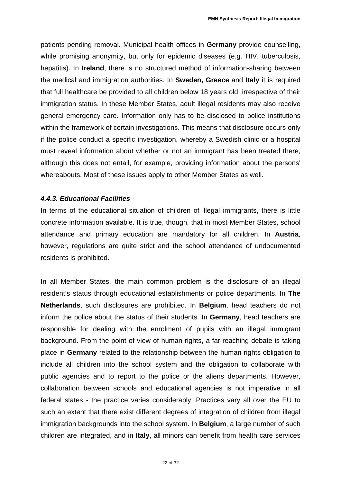patients pending removal. Municipal health offices in **Germany** provide counselling, while promising anonymity, but only for epidemic diseases (e.g. HIV, tuberculosis, hepatitis). In **Ireland**, there is no structured method of information-sharing between the medical and immigration authorities. In **Sweden, Greece** and **Italy** it is required that full healthcare be provided to all children below 18 years old, irrespective of their immigration status. In these Member States, adult illegal residents may also receive general emergency care. Information only has to be disclosed to police institutions within the framework of certain investigations. This means that disclosure occurs only if the police conduct a specific investigation, whereby a Swedish clinic or a hospital must reveal information about whether or not an immigrant has been treated there, although this does not entail, for example, providing information about the persons' whereabouts. Most of these issues apply to other Member States as well.

#### *4.4.3. Educational Facilities*

In terms of the educational situation of children of illegal immigrants, there is little concrete information available. It is true, though, that in most Member States, school attendance and primary education are mandatory for all children. In **Austria**, however, regulations are quite strict and the school attendance of undocumented residents is prohibited.

In all Member States, the main common problem is the disclosure of an illegal resident's status through educational establishments or police departments. In **The Netherlands**, such disclosures are prohibited. In **Belgium**, head teachers do not inform the police about the status of their students. In **Germany**, head teachers are responsible for dealing with the enrolment of pupils with an illegal immigrant background. From the point of view of human rights, a far-reaching debate is taking place in **Germany** related to the relationship between the human rights obligation to include all children into the school system and the obligation to collaborate with public agencies and to report to the police or the aliens departments. However, collaboration between schools and educational agencies is not imperative in all federal states - the practice varies considerably. Practices vary all over the EU to such an extent that there exist different degrees of integration of children from illegal immigration backgrounds into the school system. In **Belgium**, a large number of such children are integrated, and in **Italy**, all minors can benefit from health care services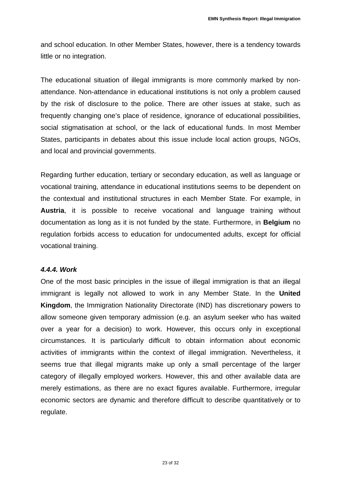and school education. In other Member States, however, there is a tendency towards little or no integration.

The educational situation of illegal immigrants is more commonly marked by nonattendance. Non-attendance in educational institutions is not only a problem caused by the risk of disclosure to the police. There are other issues at stake, such as frequently changing one's place of residence, ignorance of educational possibilities, social stigmatisation at school, or the lack of educational funds. In most Member States, participants in debates about this issue include local action groups, NGOs, and local and provincial governments.

Regarding further education, tertiary or secondary education, as well as language or vocational training, attendance in educational institutions seems to be dependent on the contextual and institutional structures in each Member State. For example, in **Austria**, it is possible to receive vocational and language training without documentation as long as it is not funded by the state. Furthermore, in **Belgium** no regulation forbids access to education for undocumented adults, except for official vocational training.

#### *4.4.4. Work*

One of the most basic principles in the issue of illegal immigration is that an illegal immigrant is legally not allowed to work in any Member State. In the **United Kingdom**, the Immigration Nationality Directorate (IND) has discretionary powers to allow someone given temporary admission (e.g. an asylum seeker who has waited over a year for a decision) to work. However, this occurs only in exceptional circumstances. It is particularly difficult to obtain information about economic activities of immigrants within the context of illegal immigration. Nevertheless, it seems true that illegal migrants make up only a small percentage of the larger category of illegally employed workers. However, this and other available data are merely estimations, as there are no exact figures available. Furthermore, irregular economic sectors are dynamic and therefore difficult to describe quantitatively or to regulate.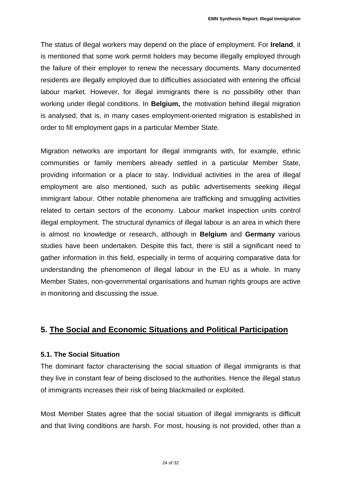The status of illegal workers may depend on the place of employment. For **Ireland**, it is mentioned that some work permit holders may become illegally employed through the failure of their employer to renew the necessary documents. Many documented residents are illegally employed due to difficulties associated with entering the official labour market. However, for illegal immigrants there is no possibility other than working under illegal conditions. In **Belgium,** the motivation behind illegal migration is analysed, that is, in many cases employment-oriented migration is established in order to fill employment gaps in a particular Member State.

Migration networks are important for illegal immigrants with, for example, ethnic communities or family members already settled in a particular Member State, providing information or a place to stay. Individual activities in the area of illegal employment are also mentioned, such as public advertisements seeking illegal immigrant labour. Other notable phenomena are trafficking and smuggling activities related to certain sectors of the economy. Labour market inspection units control illegal employment. The structural dynamics of illegal labour is an area in which there is almost no knowledge or research, although in **Belgium** and **Germany** various studies have been undertaken. Despite this fact, there is still a significant need to gather information in this field, especially in terms of acquiring comparative data for understanding the phenomenon of illegal labour in the EU as a whole. In many Member States, non-governmental organisations and human rights groups are active in monitoring and discussing the issue.

#### **5. The Social and Economic Situations and Political Participation**

#### **5.1. The Social Situation**

The dominant factor characterising the social situation of illegal immigrants is that they live in constant fear of being disclosed to the authorities. Hence the illegal status of immigrants increases their risk of being blackmailed or exploited.

Most Member States agree that the social situation of illegal immigrants is difficult and that living conditions are harsh. For most, housing is not provided, other than a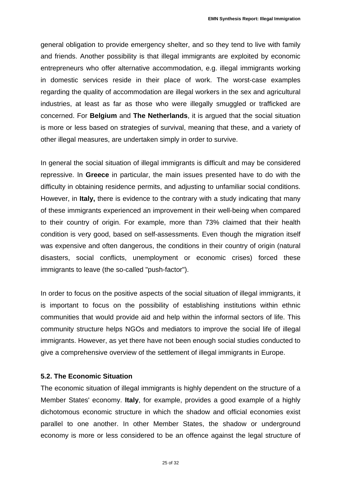general obligation to provide emergency shelter, and so they tend to live with family and friends. Another possibility is that illegal immigrants are exploited by economic entrepreneurs who offer alternative accommodation, e.g. illegal immigrants working in domestic services reside in their place of work. The worst-case examples regarding the quality of accommodation are illegal workers in the sex and agricultural industries, at least as far as those who were illegally smuggled or trafficked are concerned. For **Belgium** and **The Netherlands**, it is argued that the social situation is more or less based on strategies of survival, meaning that these, and a variety of other illegal measures, are undertaken simply in order to survive.

In general the social situation of illegal immigrants is difficult and may be considered repressive. In **Greece** in particular, the main issues presented have to do with the difficulty in obtaining residence permits, and adjusting to unfamiliar social conditions. However, in **Italy,** there is evidence to the contrary with a study indicating that many of these immigrants experienced an improvement in their well-being when compared to their country of origin. For example, more than 73% claimed that their health condition is very good, based on self-assessments. Even though the migration itself was expensive and often dangerous, the conditions in their country of origin (natural disasters, social conflicts, unemployment or economic crises) forced these immigrants to leave (the so-called "push-factor").

In order to focus on the positive aspects of the social situation of illegal immigrants, it is important to focus on the possibility of establishing institutions within ethnic communities that would provide aid and help within the informal sectors of life. This community structure helps NGOs and mediators to improve the social life of illegal immigrants. However, as yet there have not been enough social studies conducted to give a comprehensive overview of the settlement of illegal immigrants in Europe.

#### **5.2. The Economic Situation**

The economic situation of illegal immigrants is highly dependent on the structure of a Member States' economy. **Italy**, for example, provides a good example of a highly dichotomous economic structure in which the shadow and official economies exist parallel to one another. In other Member States, the shadow or underground economy is more or less considered to be an offence against the legal structure of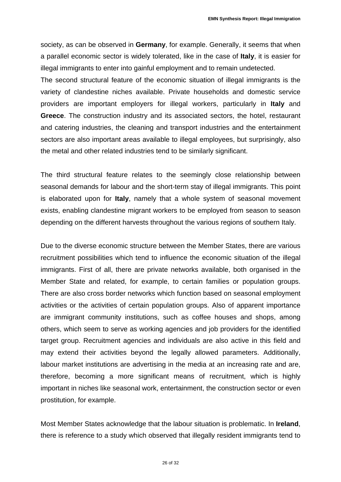society, as can be observed in **Germany**, for example. Generally, it seems that when a parallel economic sector is widely tolerated, like in the case of **Italy**, it is easier for illegal immigrants to enter into gainful employment and to remain undetected.

The second structural feature of the economic situation of illegal immigrants is the variety of clandestine niches available. Private households and domestic service providers are important employers for illegal workers, particularly in **Italy** and **Greece**. The construction industry and its associated sectors, the hotel, restaurant and catering industries, the cleaning and transport industries and the entertainment sectors are also important areas available to illegal employees, but surprisingly, also the metal and other related industries tend to be similarly significant.

The third structural feature relates to the seemingly close relationship between seasonal demands for labour and the short-term stay of illegal immigrants. This point is elaborated upon for **Italy**, namely that a whole system of seasonal movement exists, enabling clandestine migrant workers to be employed from season to season depending on the different harvests throughout the various regions of southern Italy.

Due to the diverse economic structure between the Member States, there are various recruitment possibilities which tend to influence the economic situation of the illegal immigrants. First of all, there are private networks available, both organised in the Member State and related, for example, to certain families or population groups. There are also cross border networks which function based on seasonal employment activities or the activities of certain population groups. Also of apparent importance are immigrant community institutions, such as coffee houses and shops, among others, which seem to serve as working agencies and job providers for the identified target group. Recruitment agencies and individuals are also active in this field and may extend their activities beyond the legally allowed parameters. Additionally, labour market institutions are advertising in the media at an increasing rate and are, therefore, becoming a more significant means of recruitment, which is highly important in niches like seasonal work, entertainment, the construction sector or even prostitution, for example.

Most Member States acknowledge that the labour situation is problematic. In **Ireland**, there is reference to a study which observed that illegally resident immigrants tend to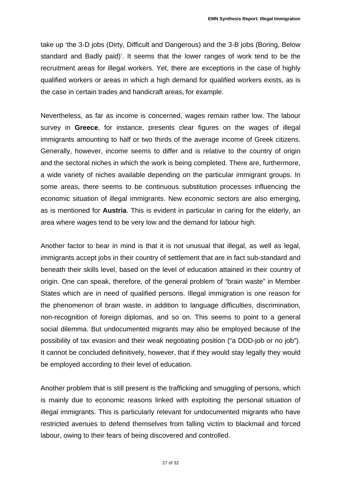take up 'the 3-D jobs (Dirty, Difficult and Dangerous) and the 3-B jobs (Boring, Below standard and Badly paid)'. It seems that the lower ranges of work tend to be the recruitment areas for illegal workers. Yet, there are exceptions in the case of highly qualified workers or areas in which a high demand for qualified workers exists, as is the case in certain trades and handicraft areas, for example.

Nevertheless, as far as income is concerned, wages remain rather low. The labour survey in **Greece**, for instance, presents clear figures on the wages of illegal immigrants amounting to half or two thirds of the average income of Greek citizens. Generally, however, income seems to differ and is relative to the country of origin and the sectoral niches in which the work is being completed. There are, furthermore, a wide variety of niches available depending on the particular immigrant groups. In some areas, there seems to be continuous substitution processes influencing the economic situation of illegal immigrants. New economic sectors are also emerging, as is mentioned for **Austria**. This is evident in particular in caring for the elderly, an area where wages tend to be very low and the demand for labour high.

Another factor to bear in mind is that it is not unusual that illegal, as well as legal, immigrants accept jobs in their country of settlement that are in fact sub-standard and beneath their skills level, based on the level of education attained in their country of origin. One can speak, therefore, of the general problem of "brain waste" in Member States which are in need of qualified persons. Illegal immigration is one reason for the phenomenon of brain waste, in addition to language difficulties, discrimination, non-recognition of foreign diplomas, and so on. This seems to point to a general social dilemma. But undocumented migrants may also be employed because of the possibility of tax evasion and their weak negotiating position ("a DDD-job or no job"). It cannot be concluded definitively, however, that if they would stay legally they would be employed according to their level of education.

Another problem that is still present is the trafficking and smuggling of persons, which is mainly due to economic reasons linked with exploiting the personal situation of illegal immigrants. This is particularly relevant for undocumented migrants who have restricted avenues to defend themselves from falling victim to blackmail and forced labour, owing to their fears of being discovered and controlled.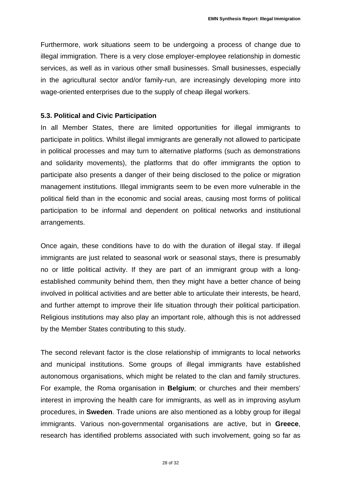Furthermore, work situations seem to be undergoing a process of change due to illegal immigration. There is a very close employer-employee relationship in domestic services, as well as in various other small businesses. Small businesses, especially in the agricultural sector and/or family-run, are increasingly developing more into wage-oriented enterprises due to the supply of cheap illegal workers.

#### **5.3. Political and Civic Participation**

In all Member States, there are limited opportunities for illegal immigrants to participate in politics. Whilst illegal immigrants are generally not allowed to participate in political processes and may turn to alternative platforms (such as demonstrations and solidarity movements), the platforms that do offer immigrants the option to participate also presents a danger of their being disclosed to the police or migration management institutions. Illegal immigrants seem to be even more vulnerable in the political field than in the economic and social areas, causing most forms of political participation to be informal and dependent on political networks and institutional arrangements.

Once again, these conditions have to do with the duration of illegal stay. If illegal immigrants are just related to seasonal work or seasonal stays, there is presumably no or little political activity. If they are part of an immigrant group with a longestablished community behind them, then they might have a better chance of being involved in political activities and are better able to articulate their interests, be heard, and further attempt to improve their life situation through their political participation. Religious institutions may also play an important role, although this is not addressed by the Member States contributing to this study.

The second relevant factor is the close relationship of immigrants to local networks and municipal institutions. Some groups of illegal immigrants have established autonomous organisations, which might be related to the clan and family structures. For example, the Roma organisation in **Belgium**; or churches and their members' interest in improving the health care for immigrants, as well as in improving asylum procedures, in **Sweden**. Trade unions are also mentioned as a lobby group for illegal immigrants. Various non-governmental organisations are active, but in **Greece**, research has identified problems associated with such involvement, going so far as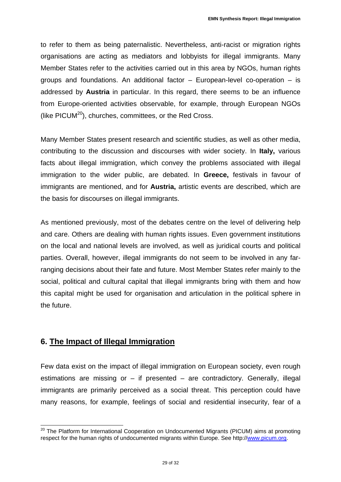to refer to them as being paternalistic. Nevertheless, anti-racist or migration rights organisations are acting as mediators and lobbyists for illegal immigrants. Many Member States refer to the activities carried out in this area by NGOs, human rights groups and foundations. An additional factor – European-level co-operation – is addressed by **Austria** in particular. In this regard, there seems to be an influence from Europe-oriented activities observable, for example, through European NGOs (like  $PICUM^{20}$ ), churches, committees, or the Red Cross.

Many Member States present research and scientific studies, as well as other media, contributing to the discussion and discourses with wider society. In **Italy,** various facts about illegal immigration, which convey the problems associated with illegal immigration to the wider public, are debated. In **Greece,** festivals in favour of immigrants are mentioned, and for **Austria,** artistic events are described, which are the basis for discourses on illegal immigrants.

As mentioned previously, most of the debates centre on the level of delivering help and care. Others are dealing with human rights issues. Even government institutions on the local and national levels are involved, as well as juridical courts and political parties. Overall, however, illegal immigrants do not seem to be involved in any farranging decisions about their fate and future. Most Member States refer mainly to the social, political and cultural capital that illegal immigrants bring with them and how this capital might be used for organisation and articulation in the political sphere in the future.

#### **6. The Impact of Illegal Immigration**

Few data exist on the impact of illegal immigration on European society, even rough estimations are missing or  $-$  if presented  $-$  are contradictory. Generally, illegal immigrants are primarily perceived as a social threat. This perception could have many reasons, for example, feelings of social and residential insecurity, fear of a

i <sup>20</sup> The Platform for International Cooperation on Undocumented Migrants (PICUM) aims at promoting respect for the human rights of undocumented migrants within Europe. See http://www.picum.org.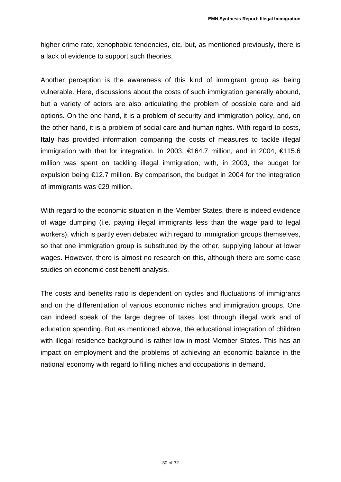higher crime rate, xenophobic tendencies, etc. but, as mentioned previously, there is a lack of evidence to support such theories.

Another perception is the awareness of this kind of immigrant group as being vulnerable. Here, discussions about the costs of such immigration generally abound, but a variety of actors are also articulating the problem of possible care and aid options. On the one hand, it is a problem of security and immigration policy, and, on the other hand, it is a problem of social care and human rights. With regard to costs, **Italy** has provided information comparing the costs of measures to tackle illegal immigration with that for integration. In 2003, €164.7 million, and in 2004, €115.6 million was spent on tackling illegal immigration, with, in 2003, the budget for expulsion being  $\epsilon$ 12.7 million. By comparison, the budget in 2004 for the integration of immigrants was €29 million.

With regard to the economic situation in the Member States, there is indeed evidence of wage dumping (i.e. paying illegal immigrants less than the wage paid to legal workers), which is partly even debated with regard to immigration groups themselves, so that one immigration group is substituted by the other, supplying labour at lower wages. However, there is almost no research on this, although there are some case studies on economic cost benefit analysis.

The costs and benefits ratio is dependent on cycles and fluctuations of immigrants and on the differentiation of various economic niches and immigration groups. One can indeed speak of the large degree of taxes lost through illegal work and of education spending. But as mentioned above, the educational integration of children with illegal residence background is rather low in most Member States. This has an impact on employment and the problems of achieving an economic balance in the national economy with regard to filling niches and occupations in demand.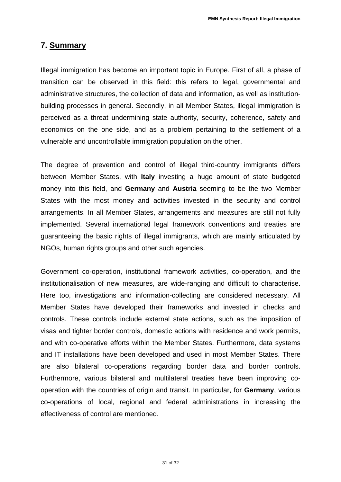#### **7. Summary**

Illegal immigration has become an important topic in Europe. First of all, a phase of transition can be observed in this field: this refers to legal, governmental and administrative structures, the collection of data and information, as well as institutionbuilding processes in general. Secondly, in all Member States, illegal immigration is perceived as a threat undermining state authority, security, coherence, safety and economics on the one side, and as a problem pertaining to the settlement of a vulnerable and uncontrollable immigration population on the other.

The degree of prevention and control of illegal third-country immigrants differs between Member States, with **Italy** investing a huge amount of state budgeted money into this field, and **Germany** and **Austria** seeming to be the two Member States with the most money and activities invested in the security and control arrangements. In all Member States, arrangements and measures are still not fully implemented. Several international legal framework conventions and treaties are guaranteeing the basic rights of illegal immigrants, which are mainly articulated by NGOs, human rights groups and other such agencies.

Government co-operation, institutional framework activities, co-operation, and the institutionalisation of new measures, are wide-ranging and difficult to characterise. Here too, investigations and information-collecting are considered necessary. All Member States have developed their frameworks and invested in checks and controls. These controls include external state actions, such as the imposition of visas and tighter border controls, domestic actions with residence and work permits, and with co-operative efforts within the Member States. Furthermore, data systems and IT installations have been developed and used in most Member States. There are also bilateral co-operations regarding border data and border controls. Furthermore, various bilateral and multilateral treaties have been improving cooperation with the countries of origin and transit. In particular, for **Germany**, various co-operations of local, regional and federal administrations in increasing the effectiveness of control are mentioned.